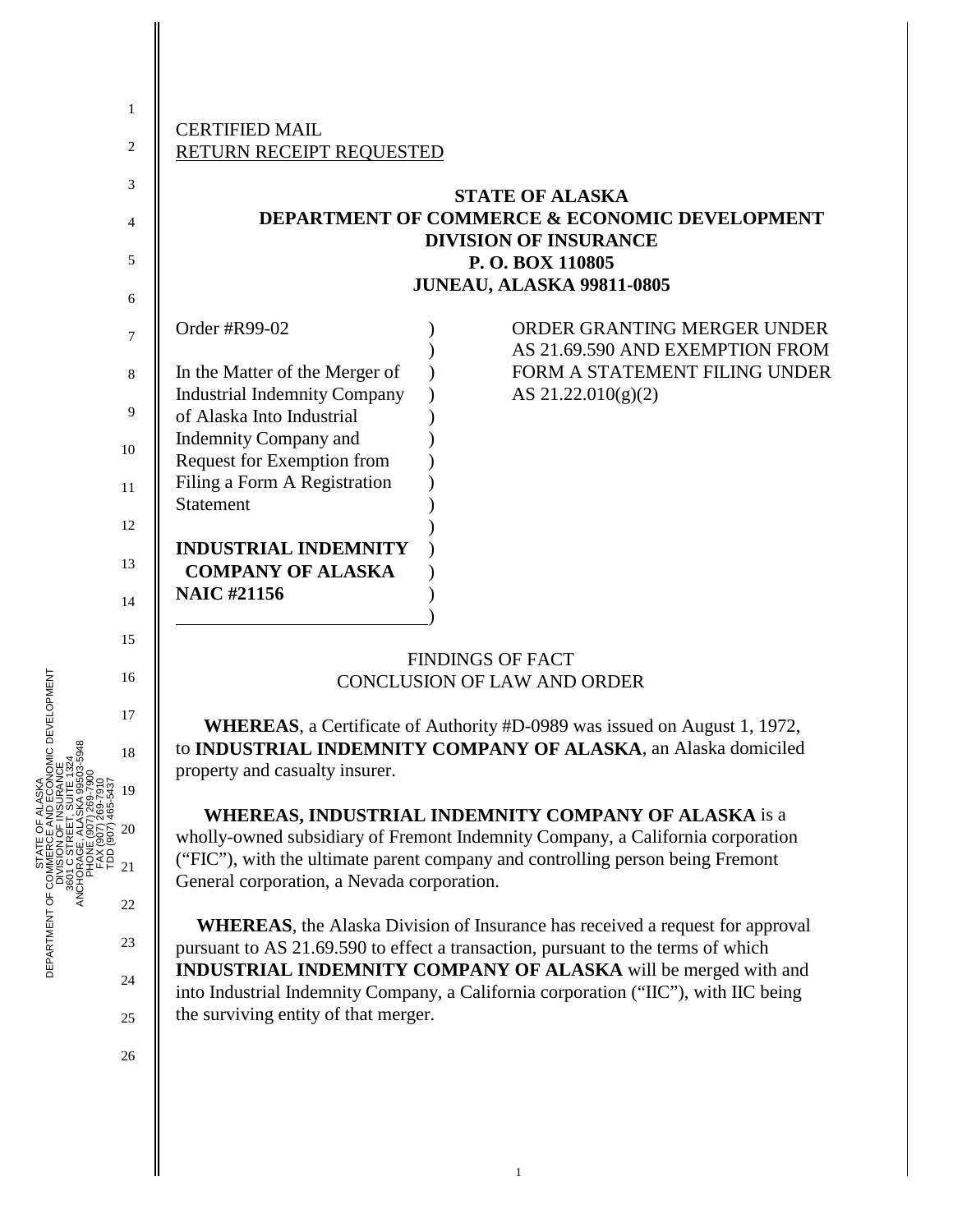|    | <b>CERTIFIED MAIL</b>               |  |                                                          |  |  |
|----|-------------------------------------|--|----------------------------------------------------------|--|--|
| 2  | RETURN RECEIPT REQUESTED            |  |                                                          |  |  |
| 3  |                                     |  | <b>STATE OF ALASKA</b>                                   |  |  |
|    |                                     |  | <b>DEPARTMENT OF COMMERCE &amp; ECONOMIC DEVELOPMENT</b> |  |  |
| 4  |                                     |  | <b>DIVISION OF INSURANCE</b>                             |  |  |
| 5  |                                     |  | P. O. BOX 110805                                         |  |  |
|    | <b>JUNEAU, ALASKA 99811-0805</b>    |  |                                                          |  |  |
| 6  |                                     |  |                                                          |  |  |
| 7  | Order #R99-02                       |  | ORDER GRANTING MERGER UNDER                              |  |  |
|    |                                     |  | AS 21.69.590 AND EXEMPTION FROM                          |  |  |
| 8  | In the Matter of the Merger of      |  | FORM A STATEMENT FILING UNDER                            |  |  |
|    | <b>Industrial Indemnity Company</b> |  | AS $21.22.010(g)(2)$                                     |  |  |
| 9  | of Alaska Into Industrial           |  |                                                          |  |  |
| 10 | <b>Indemnity Company and</b>        |  |                                                          |  |  |
|    | Request for Exemption from          |  |                                                          |  |  |
| 11 | Filing a Form A Registration        |  |                                                          |  |  |
|    | <b>Statement</b>                    |  |                                                          |  |  |
| 12 |                                     |  |                                                          |  |  |
| 13 | <b>INDUSTRIAL INDEMNITY</b>         |  |                                                          |  |  |
|    | <b>COMPANY OF ALASKA</b>            |  |                                                          |  |  |
| 14 | <b>NAIC #21156</b>                  |  |                                                          |  |  |

## FINDINGS OF FACT CONCLUSION OF LAW AND ORDER

**WHEREAS**, a Certificate of Authority #D-0989 was issued on August 1, 1972, to **INDUSTRIAL INDEMNITY COMPANY OF ALASKA**, an Alaska domiciled property and casualty insurer.

**WHEREAS, INDUSTRIAL INDEMNITY COMPANY OF ALASKA** is a wholly-owned subsidiary of Fremont Indemnity Company, a California corporation ("FIC"), with the ultimate parent company and controlling person being Fremont General corporation, a Nevada corporation.

**WHEREAS**, the Alaska Division of Insurance has received a request for approval pursuant to AS 21.69.590 to effect a transaction, pursuant to the terms of which **INDUSTRIAL INDEMNITY COMPANY OF ALASKA** will be merged with and into Industrial Indemnity Company, a California corporation ("IIC"), with IIC being the surviving entity of that merger.

- OMIC DEVELOPMENT DEPARTMENT OF COMMERCE AND ECONOMIC DEVELOPMENT 16 17 ANCHORAGE, ALASKA 99503-5948 18 3601 C STREET, SUITE 1324 DIVISION OF INSURANCE PHONE (907) 269-7900 STATE OF ALASKA FAX (907) 269-7910 TDD (907) 465-543719 20 21 DEPARTMENT OF COMM ANCH 22 23 24
	- 25

15

 $\qquad \qquad \qquad$ 

26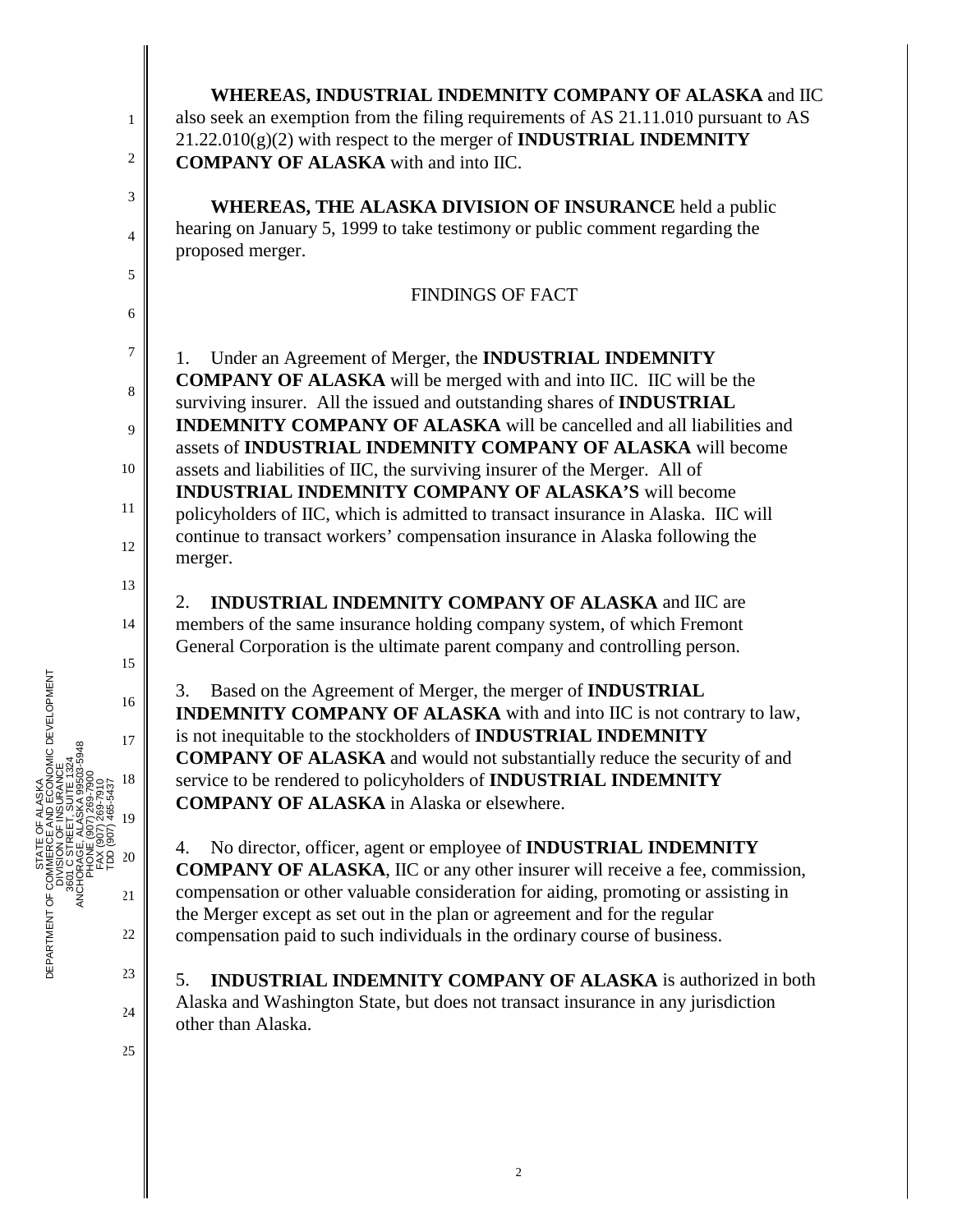| $\mathbf{1}$                                                            | WHEREAS, INDUSTRIAL INDEMNITY COMPANY OF ALASKA and IIC<br>also seek an exemption from the filing requirements of AS 21.11.010 pursuant to AS<br>$21.22.010(g)(2)$ with respect to the merger of <b>INDUSTRIAL INDEMNITY</b>                                                                                                                                                                                                                                                                                                                                                                                                                                                                                                                                                                                                                                                                                                                                                                                                                                                                                                                                                                                                                                                                                                                                 |
|-------------------------------------------------------------------------|--------------------------------------------------------------------------------------------------------------------------------------------------------------------------------------------------------------------------------------------------------------------------------------------------------------------------------------------------------------------------------------------------------------------------------------------------------------------------------------------------------------------------------------------------------------------------------------------------------------------------------------------------------------------------------------------------------------------------------------------------------------------------------------------------------------------------------------------------------------------------------------------------------------------------------------------------------------------------------------------------------------------------------------------------------------------------------------------------------------------------------------------------------------------------------------------------------------------------------------------------------------------------------------------------------------------------------------------------------------|
| 2                                                                       | <b>COMPANY OF ALASKA</b> with and into IIC.                                                                                                                                                                                                                                                                                                                                                                                                                                                                                                                                                                                                                                                                                                                                                                                                                                                                                                                                                                                                                                                                                                                                                                                                                                                                                                                  |
| 3                                                                       | <b>WHEREAS, THE ALASKA DIVISION OF INSURANCE held a public</b>                                                                                                                                                                                                                                                                                                                                                                                                                                                                                                                                                                                                                                                                                                                                                                                                                                                                                                                                                                                                                                                                                                                                                                                                                                                                                               |
| 4                                                                       | hearing on January 5, 1999 to take testimony or public comment regarding the<br>proposed merger.                                                                                                                                                                                                                                                                                                                                                                                                                                                                                                                                                                                                                                                                                                                                                                                                                                                                                                                                                                                                                                                                                                                                                                                                                                                             |
| 5<br>6                                                                  | <b>FINDINGS OF FACT</b>                                                                                                                                                                                                                                                                                                                                                                                                                                                                                                                                                                                                                                                                                                                                                                                                                                                                                                                                                                                                                                                                                                                                                                                                                                                                                                                                      |
| 7<br>8<br>9<br>10<br>11<br>12<br>13<br>14<br>15<br>16<br>17<br>18<br>19 | Under an Agreement of Merger, the INDUSTRIAL INDEMNITY<br>1.<br><b>COMPANY OF ALASKA</b> will be merged with and into IIC. IIC will be the<br>surviving insurer. All the issued and outstanding shares of INDUSTRIAL<br><b>INDEMNITY COMPANY OF ALASKA</b> will be cancelled and all liabilities and<br>assets of INDUSTRIAL INDEMNITY COMPANY OF ALASKA will become<br>assets and liabilities of IIC, the surviving insurer of the Merger. All of<br><b>INDUSTRIAL INDEMNITY COMPANY OF ALASKA'S will become</b><br>policyholders of IIC, which is admitted to transact insurance in Alaska. IIC will<br>continue to transact workers' compensation insurance in Alaska following the<br>merger.<br><b>INDUSTRIAL INDEMNITY COMPANY OF ALASKA and IIC are</b><br>2.<br>members of the same insurance holding company system, of which Fremont<br>General Corporation is the ultimate parent company and controlling person.<br>Based on the Agreement of Merger, the merger of <b>INDUSTRIAL</b><br>3.<br>INDEMNITY COMPANY OF ALASKA with and into IIC is not contrary to law,<br>is not inequitable to the stockholders of INDUSTRIAL INDEMNITY<br><b>COMPANY OF ALASKA</b> and would not substantially reduce the security of and<br>service to be rendered to policyholders of INDUSTRIAL INDEMNITY<br><b>COMPANY OF ALASKA</b> in Alaska or elsewhere. |
| 20<br>21                                                                | No director, officer, agent or employee of <b>INDUSTRIAL INDEMNITY</b><br>4.<br><b>COMPANY OF ALASKA, IIC or any other insurer will receive a fee, commission,</b><br>compensation or other valuable consideration for aiding, promoting or assisting in<br>the Merger except as set out in the plan or agreement and for the regular                                                                                                                                                                                                                                                                                                                                                                                                                                                                                                                                                                                                                                                                                                                                                                                                                                                                                                                                                                                                                        |
| 22                                                                      | compensation paid to such individuals in the ordinary course of business.                                                                                                                                                                                                                                                                                                                                                                                                                                                                                                                                                                                                                                                                                                                                                                                                                                                                                                                                                                                                                                                                                                                                                                                                                                                                                    |
| 23<br>24                                                                | <b>INDUSTRIAL INDEMNITY COMPANY OF ALASKA</b> is authorized in both<br>5.<br>Alaska and Washington State, but does not transact insurance in any jurisdiction                                                                                                                                                                                                                                                                                                                                                                                                                                                                                                                                                                                                                                                                                                                                                                                                                                                                                                                                                                                                                                                                                                                                                                                                |
| 25                                                                      | other than Alaska.                                                                                                                                                                                                                                                                                                                                                                                                                                                                                                                                                                                                                                                                                                                                                                                                                                                                                                                                                                                                                                                                                                                                                                                                                                                                                                                                           |
|                                                                         |                                                                                                                                                                                                                                                                                                                                                                                                                                                                                                                                                                                                                                                                                                                                                                                                                                                                                                                                                                                                                                                                                                                                                                                                                                                                                                                                                              |



║

║